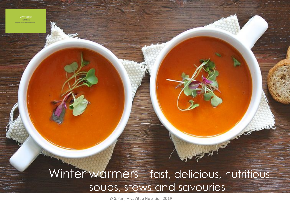Winter warmers – fast, delicious, nutritious soups, stews and savouries

© S.Parr, VivaVitae Nutrition 2019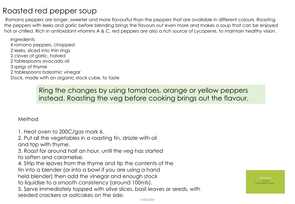# Roasted red pepper soup

Romano peppers are longer, sweeter and more flavourful than the peppers that are available in different colours. Roasting the peppers with leeks and garlic before blending brings the flavours out even more and makes a soup that can be enjoyed hot or chilled. Rich in antioxidant vitamins A & C, red peppers are also a rich source of Lycopene, to maintain healthy vision.

**Ingredients** 4 romano peppers, chopped 2 leeks, sliced into thin rings 2 cloves of garlic, halved 2 tablespoons avocado oil 3 sprigs of thyme 2 tablespoons balsamic vinegar Stock, made with an organic stock cube, to taste

> Ring the changes by using tomatoes, orange or yellow peppers instead. Roasting the veg before cooking brings out the flavour.

### Method

1. Heat oven to 200C/gas mark 6.

2. Put all the vegetables in a roasting tin, drizzle with oil and top with thyme.

3. Roast for around half an hour, until the veg has started to soften and caramelise.

4. Strip the leaves from the thyme and tip the contents of the tin into a blender (or into a bowl if you are using a hand held blender) then add the vinegar and enough stock

to liquidise to a smooth consistency (around 100mls).

5. Serve immediately topped with olive slices, basil leaves or seeds, with seeded crackers or oatcakes on the side.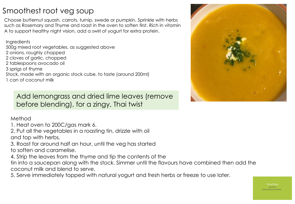# Smoothest root veg soup

Choose butternut squash, carrots, turnip, swede or pumpkin. Sprinkle with herbs such as Rosemary and Thyme and roast in the oven to soften first. Rich in vitamin A to support healthy night vision, add a swirl of yogurt for extra protein.

**Ingredients** 500g mixed root vegetables, as suggested above 2 onions, roughly chopped 2 cloves of garlic, chopped 2 tablespoons avocado oil 3 sprigs of thyme Stock, made with an organic stock cube, to taste (around 200ml) 1 can of coconut milk

Add lemongrass and dried lime leaves (remove before blending), for a zingy, Thai twist

### Method

1. Heat oven to 200C/gas mark 6.

2. Put all the vegetables in a roasting tin, drizzle with oil and top with herbs.

3. Roast for around half an hour, until the veg has started to soften and caramelise.

4. Strip the leaves from the thyme and tip the contents of the

tin into a saucepan along with the stock. Simmer until the flavours have combined then add the coconut milk and blend to serve.

5. Serve immediately topped with natural yogurt and fresh herbs or freeze to use later. 

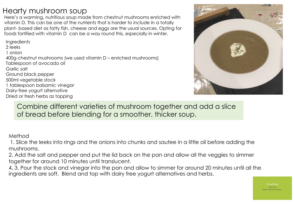## Hearty mushroom soup

Here's a warming, nutritious soup made from chestnut mushrooms enriched with vitamin D. This can be one of the nutrients that is harder to include in a totally plant- based diet as fatty fish, cheese and eggs are the usual sources. Opting for foods fortified with vitamin D can be a way round this, especially in winter.

**Ingredients** 2 leeks 1 onion 400g chestnut mushrooms (we used vitamin D – enriched mushrooms) Tablespoon of avocado oil Garlic salt Ground black pepper 500ml vegetable stock 1 tablespoon balsamic vinegar Dairy-free yogurt alternative Dried or fresh herbs as topping



Combine different varieties of mushroom together and add a slice of bread before blending for a smoother, thicker soup.

Method

1. Slice the leeks into rings and the onions into chunks and sautee in a little oil before adding the mushrooms.

2. Add the salt and pepper and put the lid back on the pan and allow all the veggies to simmer together for around 10 minutes until translucent.

4. 3. Pour the stock and vinegar into the pan and allow to simmer for around 20 minutes until all the ingredients are soft. Blend and top with dairy free yogurt alternatives and herbs.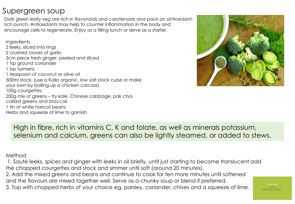## Supergreen soup

Dark green leafy veg are rich in flavonoids and carotenoids and pack an antioxidantrich punch. Antioxidants may help to counter inflammation in the body and encourage cells to regenerate. Enjoy as a filling lunch or serve as a starter.

**Ingredients** 2 leeks, sliced into rings 2 crushed cloves of garlic 3cm piece fresh ginger, peeled and sliced 1 tsp ground coriander 1 tsp turmeric 1 teaspoon of coconut or olive oil 500ml stock, (use a Kallo organic, low salt stock cube or make your own by boiling up a chicken carcass) 100g courgettes 200g mix of greens – try kale, Chinese cabbage, pak choi, collard greens and broccoli 1 tin of white haricot beans Herbs and squeeze of lime to garnish



High in fibre, rich in vitamins C, K and folate, as well as minerals potassium, selenium and calcium, greens can also be lightly steamed, or added to stews.

### Method

1. Sauté leeks, spices and ginger with leeks in oil briefly, until just starting to become translucent add the chopped courgettes and stock and simmer until soft (around 20 minutes).

2. Add the mixed greens and beans and continue to cook for ten more minutes until softened and the flavours are mixed together well. Serve as a chunky soup or blend if preferred.

3. Top with chopped herbs of your choice eg. parsley, coriander, chives and a squeeze of lime.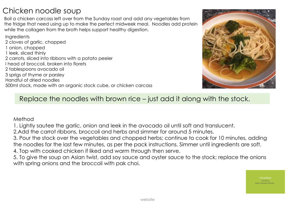# Chicken noodle soup

Boil a chicken carcass left over from the Sunday roast and add any vegetables from the fridge that need using up to make the perfect midweek meal. Noodles add protein while the collagen from the broth helps support healthy digestion.

**Ingredients** 2 cloves of garlic, chopped 1 onion, chopped 1 leek, sliced thinly 2 carrots, sliced into ribbons with a potato peeler I head of broccoli, broken into florets 2 tablespoons avocado oil 3 sprigs of thyme or parsley Handful of dried noodles 500ml stock, made with an organic stock cube, or chicken carcass



### Replace the noodles with brown rice – just add it along with the stock.

#### Method

1. Lightly sautee the garlic, onion and leek in the avocado oil until soft and translucent.

2.Add the carrot ribbons, broccoli and herbs and simmer for around 5 minutes.

3. Pour the stock over the vegetables and chopped herbs; continue to cook for 10 minutes, adding the noodles for the last few minutes, as per the pack instructions. Simmer until ingredients are soft.

4. Top with cooked chicken if liked and warm through then serve.

5. To give the soup an Asian twist, add soy sauce and oyster sauce to the stock; replace the onions with spring onions and the broccoli with pak choi.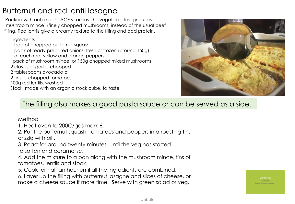# Butternut and red lentil lasagne

Packed with antioxidant ACE vitamins, this vegetable lasagne uses 'mushroom mince' (finely chopped mushrooms) instead of the usual beef filling. Red lentils give a creamy texture to the filling and add protein.

**Ingredients** 

1 bag of chopped butternut squash 1 pack of ready-prepared onions, fresh or frozen (around 150g) 1 of each red, yellow and orange peppers I pack of mushroom mince, or 150g chopped mixed mushrooms 2 cloves of garlic, chopped 2 tablespoons avocado oil 2 tins of chopped tomatoes 100g red lentils, washed Stock, made with an organic stock cube, to taste



# The filling also makes a good pasta sauce or can be served as a side.

Method

1. Heat oven to 200C/gas mark 6.

2. Put the butternut squash, tomatoes and peppers in a roasting tin, drizzle with oil .

3. Roast for around twenty minutes, until the veg has started to soften and caramelise.

4. Add the mixture to a pan along with the mushroom mince, tins of tomatoes, lentils and stock.

5. Cook for half an hour until all the ingredients are combined.

6. Layer up the filling with butternut lasagne and slices of cheese, or make a cheese sauce if more time. Serve with green salad or veg.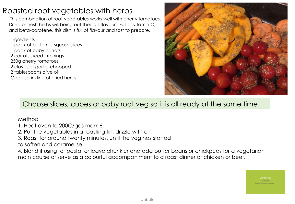# Roasted root vegetables with herbs

This combination of root vegetables works well with cherry tomatoes. Dried or fresh herbs will being out their full flavour. Full of vitamin C, and beta-carotene, this dish is full of flavour and fast to prepare.

**Ingredients** 1 pack of butternut squash slices 1 pack of baby carrots 2 carrots sliced into rings 250g cherry tomatoes 2 cloves of garlic, chopped 2 tablespoons olive oil Good sprinkling of dried herbs



## Choose slices, cubes or baby root veg so it is all ready at the same time

Method

1. Heat oven to 200C/gas mark 6.

2. Put the vegetables in a roasting tin, drizzle with oil .

3. Roast for around twenty minutes, until the veg has started

to soften and caramelise.

4. Blend if using for pasta, or leave chunkier and add butter beans or chickpeas for a vegetarian main course or serve as a colourful accompaniment to a roast dinner of chicken or beef.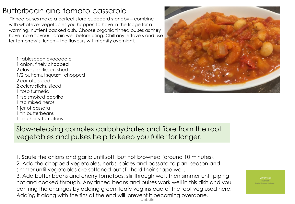# Butterbean and tomato casserole

Tinned pulses make a perfect store cupboard standby – combine with whatever vegetables you happen to have in the fridge for a warming, nutrient packed dish. Choose organic tinned pulses as they have more flavour - drain well before using. Chill any leftovers and use for tomorrow's lunch – the flavours will intensify overnight.

1 tablespoon avocado oil 1 onion, finely chopped 2 cloves garlic, crushed 1/2 butternut squash, chopped 2 carrots, sliced 2 celery sticks, sliced 1 tbsp turmeric 1 tsp smoked paprika 1 tsp mixed herbs 1 jar of passata 1 tin butterbeans 1 tin cherry tomatoes



Slow-releasing complex carbohydrates and fibre from the root vegetables and pulses help to keep you fuller for longer.

website 1. Saute the onions and garlic until soft, but not browned (around 10 minutes). 2. Add the chopped vegetables, herbs, spices and passata to pan, season and simmer until vegetables are softened but still hold their shape well. 3. Add butter beans and cherry tomatoes, stir through well, then simmer until piping hot and cooked through. Any tinned beans and pulses work well in this dish and you can ring the changes by adding green, leafy veg instead of the root veg used here. Adding it along with the tins at the end will lprevent it becoming overdone.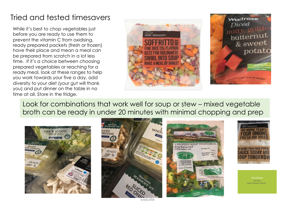# Tried and tested timesavers

While it's best to chop vegetables just before you are ready to use them to prevent the vitamin C from oxidising, ready prepared packets (fresh or frozen) have their place and mean a meal can be prepared from scratch in a lot less time. If it's a choice between choosing prepared vegetables or reaching for a ready meal, look at these ranges to help you work towards your five a day, add diversity to your diet (your gut will thank you) and put dinner on the table in no time at all. Store in the fridge.



Look for combinations that work well for soup or stew – mixed vegetable broth can be ready in under 20 minutes with minimal chopping and prep









VivaVitao

website